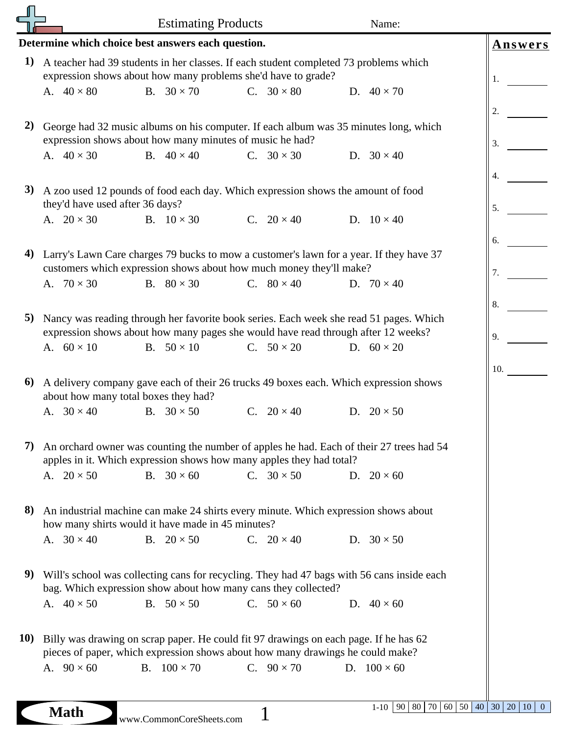|                                                                      | <b>Estimating Products</b>                                                                                                                                                                                                                                    |                                                                                                                                          |                   | Name:                                             |                      |  |  |  |  |  |  |  |
|----------------------------------------------------------------------|---------------------------------------------------------------------------------------------------------------------------------------------------------------------------------------------------------------------------------------------------------------|------------------------------------------------------------------------------------------------------------------------------------------|-------------------|---------------------------------------------------|----------------------|--|--|--|--|--|--|--|
| Determine which choice best answers each question.<br><b>Answers</b> |                                                                                                                                                                                                                                                               |                                                                                                                                          |                   |                                                   |                      |  |  |  |  |  |  |  |
| 1)                                                                   | A teacher had 39 students in her classes. If each student completed 73 problems which<br>expression shows about how many problems she'd have to grade?                                                                                                        |                                                                                                                                          | 1.                |                                                   |                      |  |  |  |  |  |  |  |
|                                                                      | A. $40 \times 80$                                                                                                                                                                                                                                             | B. $30 \times 70$                                                                                                                        | C. $30 \times 80$ | D. $40 \times 70$                                 | 2.                   |  |  |  |  |  |  |  |
| 2)                                                                   | George had 32 music albums on his computer. If each album was 35 minutes long, which<br>expression shows about how many minutes of music he had?<br>3.                                                                                                        |                                                                                                                                          |                   |                                                   |                      |  |  |  |  |  |  |  |
|                                                                      | A. $40 \times 30$                                                                                                                                                                                                                                             | B. $40 \times 40$                                                                                                                        | C. $30 \times 30$ | D. $30 \times 40$                                 | 4.                   |  |  |  |  |  |  |  |
| 3)                                                                   | A zoo used 12 pounds of food each day. Which expression shows the amount of food<br>they'd have used after 36 days?                                                                                                                                           |                                                                                                                                          |                   |                                                   | 5.                   |  |  |  |  |  |  |  |
|                                                                      | A. $20 \times 30$                                                                                                                                                                                                                                             | B. $10 \times 30$                                                                                                                        | C. $20 \times 40$ | D. $10 \times 40$                                 | 6.                   |  |  |  |  |  |  |  |
| 4)                                                                   | Larry's Lawn Care charges 79 bucks to mow a customer's lawn for a year. If they have 37<br>customers which expression shows about how much money they'll make?                                                                                                |                                                                                                                                          |                   |                                                   | 7.                   |  |  |  |  |  |  |  |
|                                                                      | A. $70 \times 30$                                                                                                                                                                                                                                             | B. $80 \times 30$                                                                                                                        | C. $80 \times 40$ | D. $70 \times 40$                                 | 8.                   |  |  |  |  |  |  |  |
| 5)                                                                   | Nancy was reading through her favorite book series. Each week she read 51 pages. Which<br>expression shows about how many pages she would have read through after 12 weeks?                                                                                   |                                                                                                                                          |                   |                                                   | 9.                   |  |  |  |  |  |  |  |
|                                                                      | A. $60 \times 10$                                                                                                                                                                                                                                             | B. $50 \times 10$                                                                                                                        | C. $50 \times 20$ | D. $60 \times 20$                                 | 10.                  |  |  |  |  |  |  |  |
| 6)                                                                   | A delivery company gave each of their 26 trucks 49 boxes each. Which expression shows<br>about how many total boxes they had?                                                                                                                                 |                                                                                                                                          |                   |                                                   |                      |  |  |  |  |  |  |  |
|                                                                      | A. $30 \times 40$                                                                                                                                                                                                                                             | B. $30 \times 50$                                                                                                                        | C. $20 \times 40$ | D. $20 \times 50$                                 |                      |  |  |  |  |  |  |  |
| 7).                                                                  | An orchard owner was counting the number of apples he had. Each of their 27 trees had 54<br>apples in it. Which expression shows how many apples they had total?                                                                                              |                                                                                                                                          |                   |                                                   |                      |  |  |  |  |  |  |  |
|                                                                      | A. $20 \times 50$                                                                                                                                                                                                                                             | B. $30 \times 60$                                                                                                                        | C. $30 \times 50$ | D. $20 \times 60$                                 |                      |  |  |  |  |  |  |  |
| 8)                                                                   |                                                                                                                                                                                                                                                               | An industrial machine can make 24 shirts every minute. Which expression shows about<br>how many shirts would it have made in 45 minutes? |                   |                                                   |                      |  |  |  |  |  |  |  |
|                                                                      | A. $30 \times 40$                                                                                                                                                                                                                                             | B. $20 \times 50$                                                                                                                        | C. $20 \times 40$ | D. $30 \times 50$                                 |                      |  |  |  |  |  |  |  |
| 9)                                                                   | Will's school was collecting cans for recycling. They had 47 bags with 56 cans inside each<br>bag. Which expression show about how many cans they collected?                                                                                                  |                                                                                                                                          |                   |                                                   |                      |  |  |  |  |  |  |  |
|                                                                      | A. $40 \times 50$                                                                                                                                                                                                                                             | B. $50 \times 50$                                                                                                                        | C. $50 \times 60$ | D. $40 \times 60$                                 |                      |  |  |  |  |  |  |  |
| <b>10)</b>                                                           | Billy was drawing on scrap paper. He could fit 97 drawings on each page. If he has 62<br>pieces of paper, which expression shows about how many drawings he could make?<br>C. $90 \times 70$<br>D. $100 \times 60$<br>A. $90 \times 60$<br>B. $100 \times 70$ |                                                                                                                                          |                   |                                                   |                      |  |  |  |  |  |  |  |
|                                                                      |                                                                                                                                                                                                                                                               |                                                                                                                                          |                   |                                                   |                      |  |  |  |  |  |  |  |
|                                                                      | <b>Math</b>                                                                                                                                                                                                                                                   | www.CommonCoreSheets.com                                                                                                                 |                   | $1-10$   90   80   70  <br>60   50   40   30   20 | 10<br>$\overline{0}$ |  |  |  |  |  |  |  |